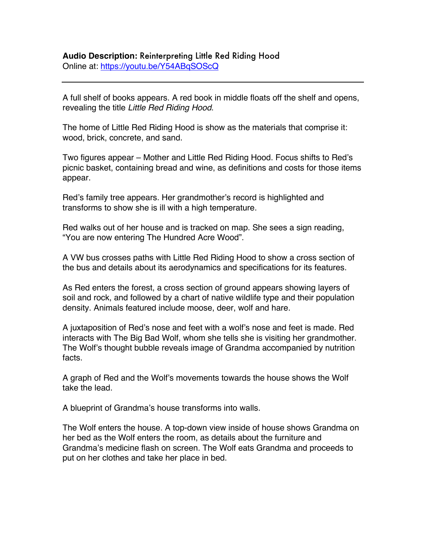## **Audio Description:** Reinterpreting Little Red Riding Hood Online at: https://youtu.be/Y54ABqSOScQ

A full shelf of books appears. A red book in middle floats off the shelf and opens, revealing the title *Little Red Riding Hood*.

The home of Little Red Riding Hood is show as the materials that comprise it: wood, brick, concrete, and sand.

Two figures appear – Mother and Little Red Riding Hood. Focus shifts to Red's picnic basket, containing bread and wine, as definitions and costs for those items appear.

Red's family tree appears. Her grandmother's record is highlighted and transforms to show she is ill with a high temperature.

Red walks out of her house and is tracked on map. She sees a sign reading, "You are now entering The Hundred Acre Wood".

A VW bus crosses paths with Little Red Riding Hood to show a cross section of the bus and details about its aerodynamics and specifications for its features.

As Red enters the forest, a cross section of ground appears showing layers of soil and rock, and followed by a chart of native wildlife type and their population density. Animals featured include moose, deer, wolf and hare.

A juxtaposition of Red's nose and feet with a wolf's nose and feet is made. Red interacts with The Big Bad Wolf, whom she tells she is visiting her grandmother. The Wolf's thought bubble reveals image of Grandma accompanied by nutrition facts.

A graph of Red and the Wolf's movements towards the house shows the Wolf take the lead.

A blueprint of Grandma's house transforms into walls.

The Wolf enters the house. A top-down view inside of house shows Grandma on her bed as the Wolf enters the room, as details about the furniture and Grandma's medicine flash on screen. The Wolf eats Grandma and proceeds to put on her clothes and take her place in bed.